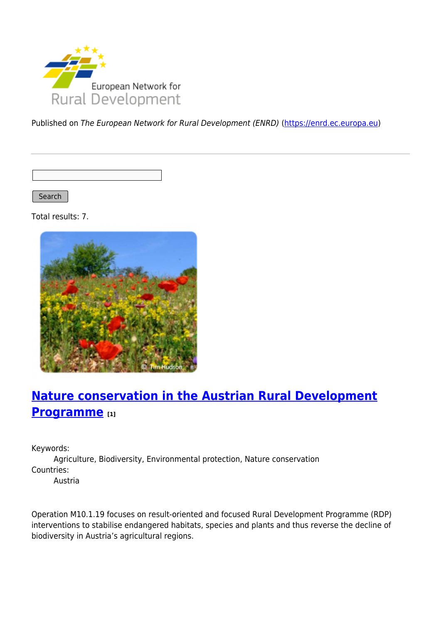

Published on The European Network for Rural Development (ENRD) [\(https://enrd.ec.europa.eu](https://enrd.ec.europa.eu))

Search |

Total results: 7.



## **[Nature conservation in the Austrian Rural Development](https://enrd.ec.europa.eu/projects-practice/nature-conservation-austrian-rural-development-programme_en) [Programme](https://enrd.ec.europa.eu/projects-practice/nature-conservation-austrian-rural-development-programme_en) [1]**

Keywords:

Agriculture, Biodiversity, Environmental protection, Nature conservation Countries:

Austria

Operation M10.1.19 focuses on result-oriented and focused Rural Development Programme (RDP) interventions to stabilise endangered habitats, species and plants and thus reverse the decline of biodiversity in Austria's agricultural regions.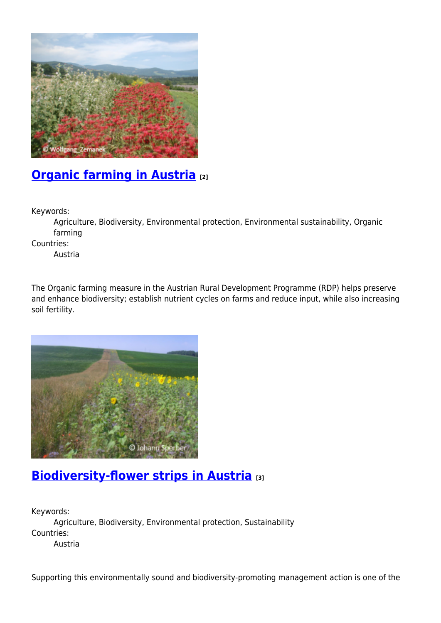

# **[Organic farming in Austria](https://enrd.ec.europa.eu/projects-practice/organic-farming-austria_en) [2]**

Keywords:

Agriculture, Biodiversity, Environmental protection, Environmental sustainability, Organic farming

Countries:

Austria

The Organic farming measure in the Austrian Rural Development Programme (RDP) helps preserve and enhance biodiversity; establish nutrient cycles on farms and reduce input, while also increasing soil fertility.



### **[Biodiversity-flower strips in Austria](https://enrd.ec.europa.eu/projects-practice/biodiversity-flower-strips-austria_en) [3]**

Keywords: Agriculture, Biodiversity, Environmental protection, Sustainability Countries: Austria

Supporting this environmentally sound and biodiversity-promoting management action is one of the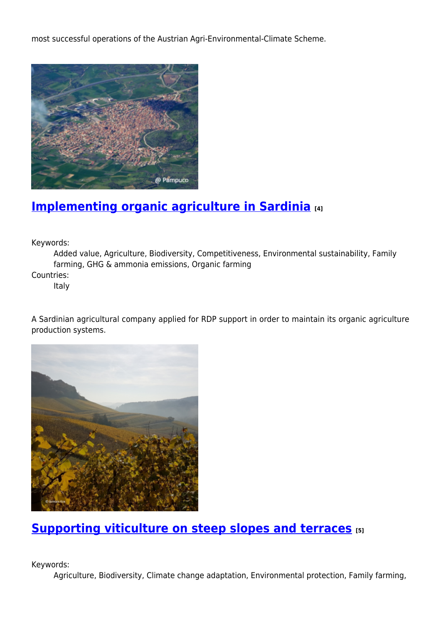most successful operations of the Austrian Agri-Environmental-Climate Scheme.



#### **[Implementing organic agriculture in Sardinia](https://enrd.ec.europa.eu/projects-practice/implementing-organic-agriculture-sardinia_en) [4]**

Keywords:

Added value, Agriculture, Biodiversity, Competitiveness, Environmental sustainability, Family farming, GHG & ammonia emissions, Organic farming Countries:

Italy

A Sardinian agricultural company applied for RDP support in order to maintain its organic agriculture production systems.



**[Supporting viticulture on steep slopes and terraces](https://enrd.ec.europa.eu/projects-practice/supporting-viticulture-steep-slopes-and-terraces_en) [5]**

Keywords:

Agriculture, Biodiversity, Climate change adaptation, Environmental protection, Family farming,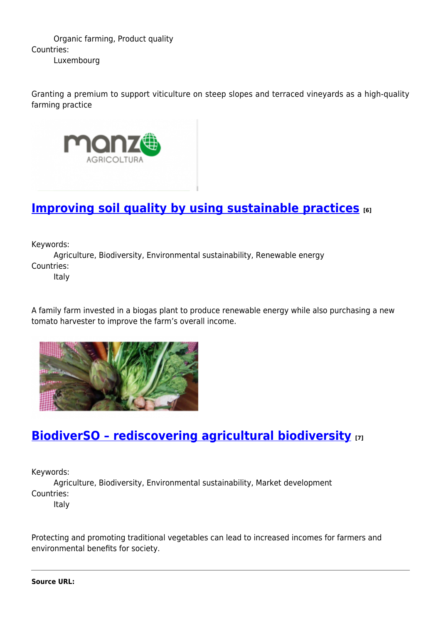Organic farming, Product quality Countries: Luxembourg

Granting a premium to support viticulture on steep slopes and terraced vineyards as a high-quality farming practice



## **[Improving soil quality by using sustainable practices](https://enrd.ec.europa.eu/projects-practice/improving-soil-quality-using-sustainable-practices_en)** [6]

Keywords:

Agriculture, Biodiversity, Environmental sustainability, Renewable energy Countries: Italy

A family farm invested in a biogas plant to produce renewable energy while also purchasing a new tomato harvester to improve the farm's overall income.



### **[BiodiverSO – rediscovering agricultural biodiversity](https://enrd.ec.europa.eu/projects-practice/biodiverso-rediscovering-agricultural-biodiversity_en) [7]**

Keywords:

Agriculture, Biodiversity, Environmental sustainability, Market development Countries:

Italy

Protecting and promoting traditional vegetables can lead to increased incomes for farmers and environmental benefits for society.